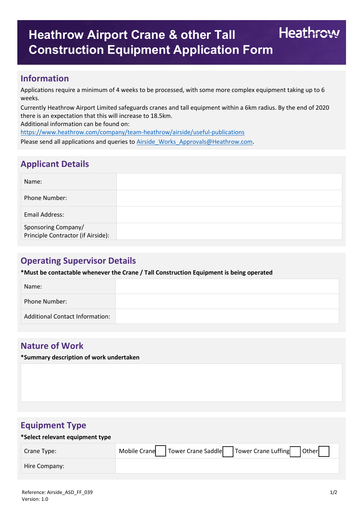# Heathrow **Heathrow Airport Crane & other Tall Construction Equipment Application Form**

### **Information**

Applications require a minimum of 4 weeks to be processed, with some more complex equipment taking up to 6 weeks.

Currently Heathrow Airport Limited safeguards cranes and tall equipment within a 6km radius. By the end of 2020 there is an expectation that this will increase to 18.5km.

Additional information can be found on:

<https://www.heathrow.com/company/team-heathrow/airside/useful-publications>

Please send all applications and queries to **[Airside\\_Works\\_Approvals@Heathrow.com.](mailto:Airside_Works_Approvals@Heathrow.com)** 

# **Applicant Details**

| Name:                                                     |  |
|-----------------------------------------------------------|--|
| Phone Number:                                             |  |
| Email Address:                                            |  |
| Sponsoring Company/<br>Principle Contractor (if Airside): |  |

# **Operating Supervisor Details**

**\*Must be contactable whenever the Crane / Tall Construction Equipment is being operated**

| Name:                           |  |
|---------------------------------|--|
| Phone Number:                   |  |
| Additional Contact Information: |  |

### **Nature of Work**

**\*Summary description of work undertaken**

## **Equipment Type**

#### **\*Select relevant equipment type**

| Crane Type:   | Mobile Crane   Tower Crane Saddle   Tower Crane Luffing   Other |
|---------------|-----------------------------------------------------------------|
| Hire Company: |                                                                 |